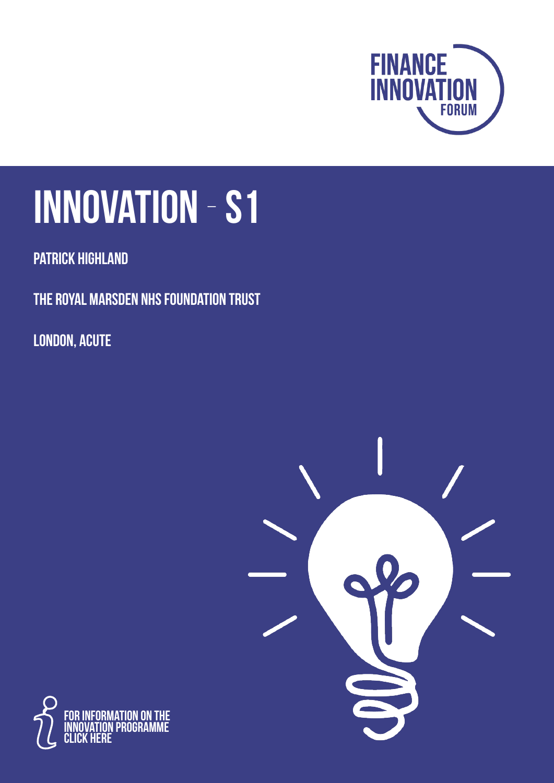

# **Innovation** - **S1**

**Patrick Highland**

**The Royal Marsden NHS Foundation Trust**

**London, Acute**



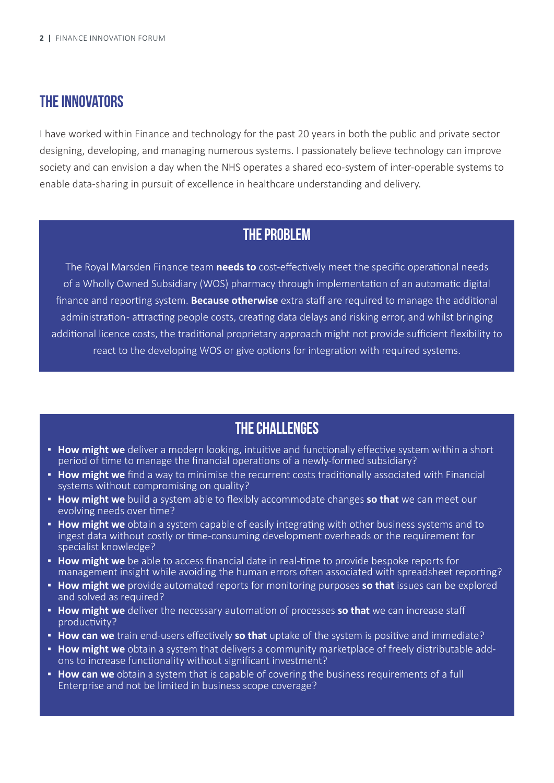#### **The Innovators**

I have worked within Finance and technology for the past 20 years in both the public and private sector designing, developing, and managing numerous systems. I passionately believe technology can improve society and can envision a day when the NHS operates a shared eco-system of inter-operable systems to enable data-sharing in pursuit of excellence in healthcare understanding and delivery.

#### **The problem**

The Royal Marsden Finance team **needs to** cost-effectively meet the specific operational needs of a Wholly Owned Subsidiary (WOS) pharmacy through implementation of an automatic digital finance and reporting system. **Because otherwise** extra staff are required to manage the additional administration-attracting people costs, creating data delays and risking error, and whilst bringing additional licence costs, the traditional proprietary approach might not provide sufficient flexibility to react to the developing WOS or give options for integration with required systems.

#### **The Challenges**

- **.** How might we deliver a modern looking, intuitive and functionally effective system within a short period of time to manage the financial operations of a newly-formed subsidiary?
- **. How might we** find a way to minimise the recurrent costs traditionally associated with Financial systems without compromising on quality?
- **▪ How might we** build a system able to flexibly accommodate changes **so that** we can meet our evolving needs over time?
- **. How might we** obtain a system capable of easily integrating with other business systems and to ingest data without costly or time-consuming development overheads or the requirement for specialist knowledge?
- **▪ How might we** be able to access financial date in real-time to provide bespoke reports for management insight while avoiding the human errors often associated with spreadsheet reporting?
- **▪ How might we** provide automated reports for monitoring purposes **so that** issues can be explored and solved as required?
- **. How might we** deliver the necessary automation of processes so that we can increase staff productivity?
- **▪ How can we** train end-users effectively **so that** uptake of the system is positive and immediate?
- **. How might we** obtain a system that delivers a community marketplace of freely distributable addons to increase functionality without significant investment?
- **. How can we** obtain a system that is capable of covering the business requirements of a full Enterprise and not be limited in business scope coverage?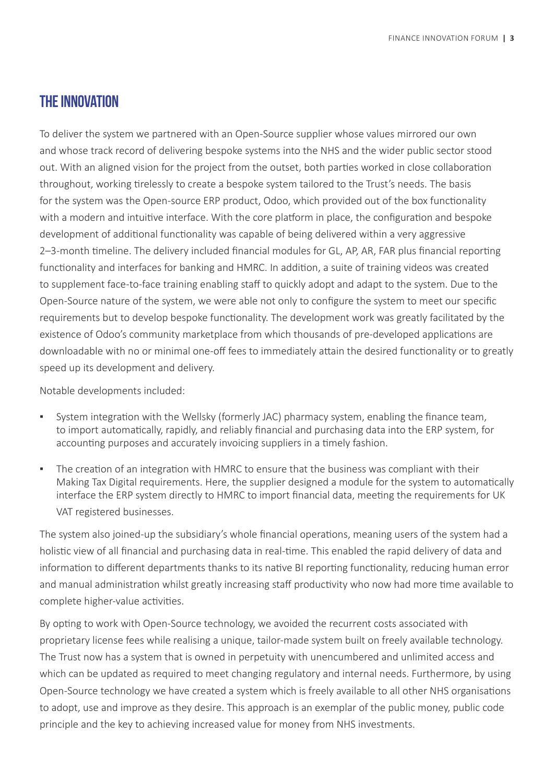#### **The Innovation**

To deliver the system we partnered with an Open-Source supplier whose values mirrored our own and whose track record of delivering bespoke systems into the NHS and the wider public sector stood out. With an aligned vision for the project from the outset, both parties worked in close collaboration throughout, working tirelessly to create a bespoke system tailored to the Trust's needs. The basis for the system was the Open-source ERP product, Odoo, which provided out of the box functionality with a modern and intuitive interface. With the core platform in place, the configuration and bespoke development of additional functionality was capable of being delivered within a very aggressive 2–3-month timeline. The delivery included financial modules for GL, AP, AR, FAR plus financial reporting functionality and interfaces for banking and HMRC. In addition, a suite of training videos was created to supplement face-to-face training enabling staff to quickly adopt and adapt to the system. Due to the Open-Source nature of the system, we were able not only to configure the system to meet our specific requirements but to develop bespoke functionality. The development work was greatly facilitated by the existence of Odoo's community marketplace from which thousands of pre-developed applications are downloadable with no or minimal one-off fees to immediately attain the desired functionality or to greatly speed up its development and delivery.

Notable developments included:

- System integration with the Wellsky (formerly JAC) pharmacy system, enabling the finance team, to import automatically, rapidly, and reliably financial and purchasing data into the ERP system, for accounting purposes and accurately invoicing suppliers in a timely fashion.
- The creation of an integration with HMRC to ensure that the business was compliant with their Making Tax Digital requirements. Here, the supplier designed a module for the system to automatically interface the ERP system directly to HMRC to import financial data, meeting the requirements for UK VAT registered businesses.

The system also joined-up the subsidiary's whole financial operations, meaning users of the system had a holistic view of all financial and purchasing data in real-time. This enabled the rapid delivery of data and information to different departments thanks to its native BI reporting functionality, reducing human error and manual administration whilst greatly increasing staff productivity who now had more time available to complete higher-value activities.

By opting to work with Open-Source technology, we avoided the recurrent costs associated with proprietary license fees while realising a unique, tailor-made system built on freely available technology. The Trust now has a system that is owned in perpetuity with unencumbered and unlimited access and which can be updated as required to meet changing regulatory and internal needs. Furthermore, by using Open-Source technology we have created a system which is freely available to all other NHS organisations to adopt, use and improve as they desire. This approach is an exemplar of the public money, public code principle and the key to achieving increased value for money from NHS investments.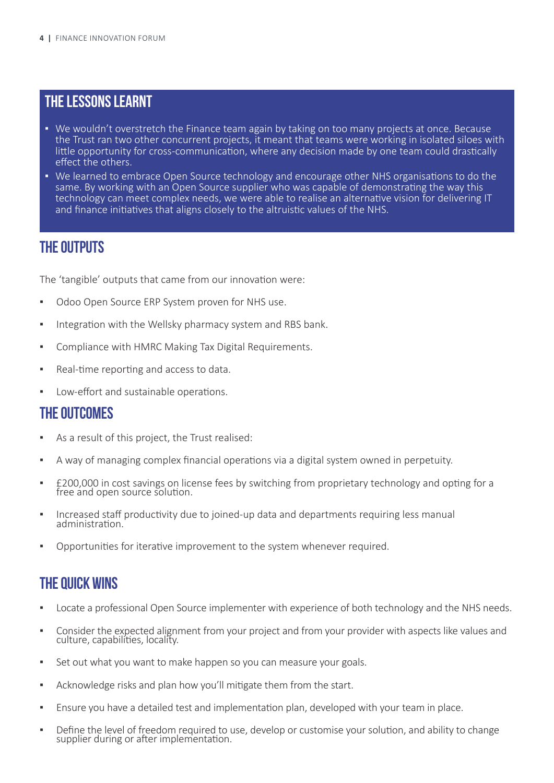#### **The Lessons learnt**

- **▪** We wouldn't overstretch the Finance team again by taking on too many projects at once. Because the Trust ran two other concurrent projects, it meant that teams were working in isolated siloes with little opportunity for cross-communication, where any decision made by one team could drastically effect the others.
- **▪** We learned to embrace Open Source technology and encourage other NHS organisations to do the same. By working with an Open Source supplier who was capable of demonstrating the way this technology can meet complex needs, we were able to realise an alternative vision for delivering IT and finance initiatives that aligns closely to the altruistic values of the NHS.

#### **The Outputs**

The 'tangible' outputs that came from our innovation were:

- Odoo Open Source ERP System proven for NHS use.
- **▪** Integration with the Wellsky pharmacy system and RBS bank.
- **▪** Compliance with HMRC Making Tax Digital Requirements.
- Real-time reporting and access to data.
- Low-effort and sustainable operations.

#### **The Outcomes**

- As a result of this project, the Trust realised:
- **▪** A way of managing complex financial operations via a digital system owned in perpetuity.
- **▪** £200,000 in cost savings on license fees by switching from proprietary technology and opting for a free and open source solution.
- **▪** Increased staff productivity due to joined-up data and departments requiring less manual administration.
- Opportunities for iterative improvement to the system whenever required.

#### **The Quick wins**

- **▪** Locate a professional Open Source implementer with experience of both technology and the NHS needs.
- **▪** Consider the expected alignment from your project and from your provider with aspects like values and culture, capabilities, locality.
- **▪** Set out what you want to make happen so you can measure your goals.
- **▪** Acknowledge risks and plan how you'll mitigate them from the start.
- **▪** Ensure you have a detailed test and implementation plan, developed with your team in place.
- Define the level of freedom required to use, develop or customise your solution, and ability to change supplier during or after implementation.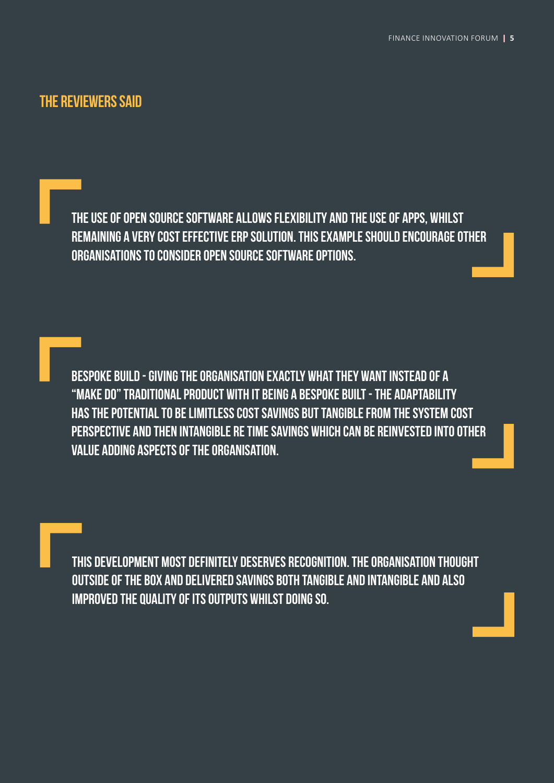#### **The Reviewers said**

**The use of open Source Software allows flexibility and the use of apps, whilst remaining a very cost effective ERP solution. this example should encourage other organisations to consider open source software options.**

**Bespoke build - giving the organisation exactly what they want instead of a "make do" traditional product With it being a bespoke built - the adaptability has the potential to be limitless Cost Savings but tangible from the system cost perspective and then intangible re time savings which can be reinvested into other value adding aspects of the organisation.**

**This development most definitely deserves recognition. The organisation thought outside of the box and delivered savings both tangible and intangible and also improved the quality of its outputs whilst doing so.**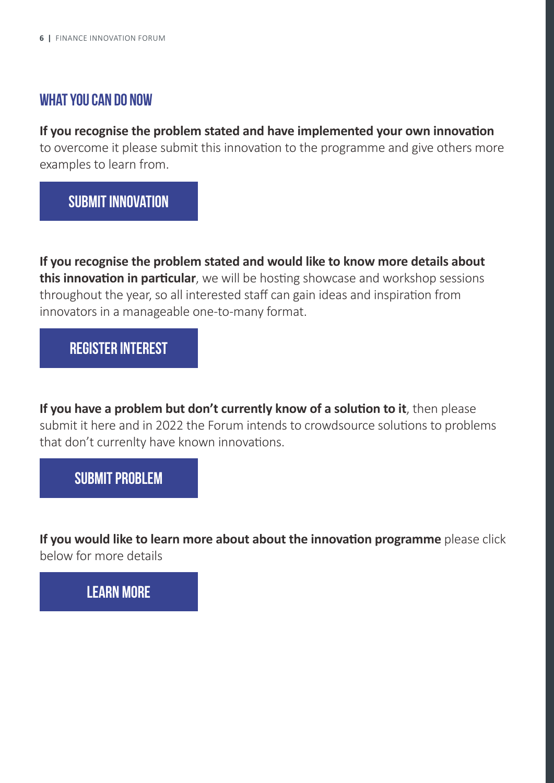#### **What you can do Now**

#### **If you recognise the problem stated and have implemented your own innovation**

to overcome it please submit this innovation to the programme and give others more examples to learn from.

## **[Submit Innovation](https://onenhsfinance.nhs.uk/the-finance-innovation-forum/innovation-programme/)**

**If you recognise the problem stated and would like to know more details about this innovation in particular**, we will be hosting showcase and workshop sessions throughout the year, so all interested staff can gain ideas and inspiration from innovators in a manageable one-to-many format.

#### **[Register interest](https://forms.office.com/r/PunZJwmmLk)**

**If you have a problem but don't currently know of a solution to it**, then please submit it here and in 2022 the Forum intends to crowdsource solutions to problems that don't currenlty have known innovations.

#### **[Submit Problem](https://forms.office.com/r/Hzm2zc9Lff)**

**If you would like to learn more about about the innovation programme** please click below for more details

# **[Learn More](https://onenhsfinance.nhs.uk/the-finance-innovation-forum/innovation-programme/)**